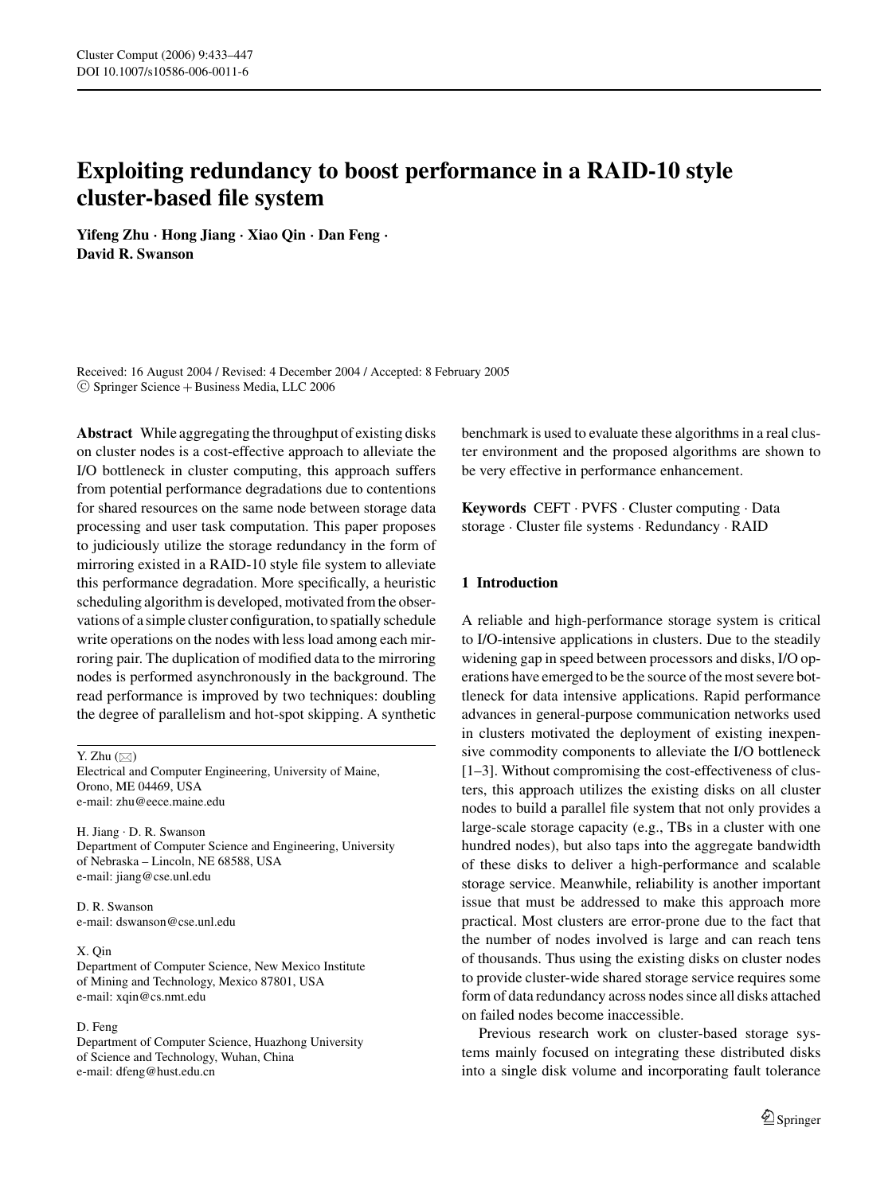# **Exploiting redundancy to boost performance in a RAID-10 style cluster-based file system**

**Yifeng Zhu** *·* **Hong Jiang** *·* **Xiao Qin** *·* **Dan Feng** *·* **David R. Swanson**

Received: 16 August 2004 / Revised: 4 December 2004 / Accepted: 8 February 2005 -<sup>C</sup> Springer Science + Business Media, LLC 2006

**Abstract** While aggregating the throughput of existing disks on cluster nodes is a cost-effective approach to alleviate the I/O bottleneck in cluster computing, this approach suffers from potential performance degradations due to contentions for shared resources on the same node between storage data processing and user task computation. This paper proposes to judiciously utilize the storage redundancy in the form of mirroring existed in a RAID-10 style file system to alleviate this performance degradation. More specifically, a heuristic scheduling algorithm is developed, motivated from the observations of a simple cluster configuration, to spatially schedule write operations on the nodes with less load among each mirroring pair. The duplication of modified data to the mirroring nodes is performed asynchronously in the background. The read performance is improved by two techniques: doubling the degree of parallelism and hot-spot skipping. A synthetic

Y. Zhu  $(\boxtimes)$ 

Electrical and Computer Engineering, University of Maine, Orono, ME 04469, USA e-mail: zhu@eece.maine.edu

H. Jiang . D. R. Swanson Department of Computer Science and Engineering, University of Nebraska – Lincoln, NE 68588, USA e-mail: jiang@cse.unl.edu

D. R. Swanson e-mail: dswanson@cse.unl.edu

# X. Qin

Department of Computer Science, New Mexico Institute of Mining and Technology, Mexico 87801, USA e-mail: xqin@cs.nmt.edu

### D. Feng

Department of Computer Science, Huazhong University of Science and Technology, Wuhan, China e-mail: dfeng@hust.edu.cn

benchmark is used to evaluate these algorithms in a real cluster environment and the proposed algorithms are shown to be very effective in performance enhancement.

**Keywords** CEFT . PVFS . Cluster computing . Data storage . Cluster file systems . Redundancy . RAID

## **1 Introduction**

A reliable and high-performance storage system is critical to I/O-intensive applications in clusters. Due to the steadily widening gap in speed between processors and disks, I/O operations have emerged to be the source of the most severe bottleneck for data intensive applications. Rapid performance advances in general-purpose communication networks used in clusters motivated the deployment of existing inexpensive commodity components to alleviate the I/O bottleneck [1–3]. Without compromising the cost-effectiveness of clusters, this approach utilizes the existing disks on all cluster nodes to build a parallel file system that not only provides a large-scale storage capacity (e.g., TBs in a cluster with one hundred nodes), but also taps into the aggregate bandwidth of these disks to deliver a high-performance and scalable storage service. Meanwhile, reliability is another important issue that must be addressed to make this approach more practical. Most clusters are error-prone due to the fact that the number of nodes involved is large and can reach tens of thousands. Thus using the existing disks on cluster nodes to provide cluster-wide shared storage service requires some form of data redundancy across nodes since all disks attached on failed nodes become inaccessible.

Previous research work on cluster-based storage systems mainly focused on integrating these distributed disks into a single disk volume and incorporating fault tolerance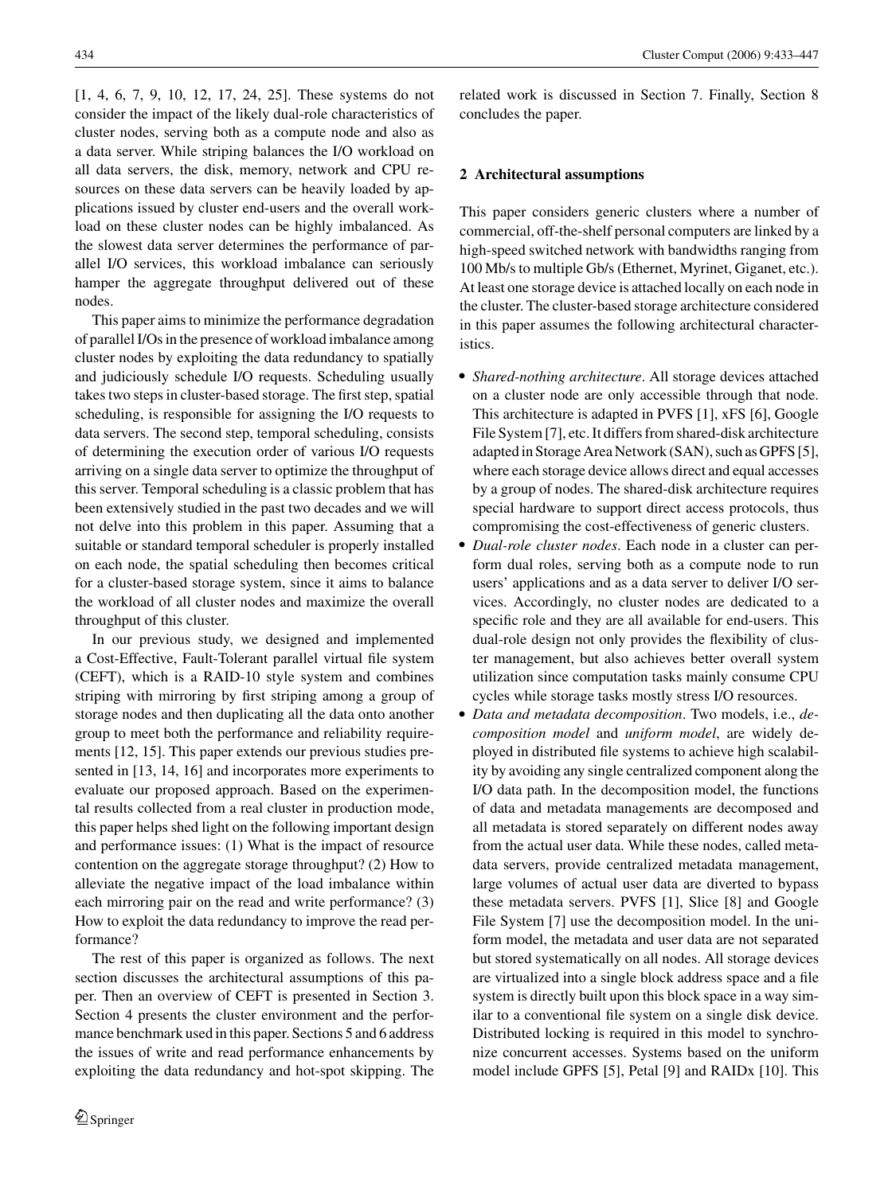[1, 4, 6, 7, 9, 10, 12, 17, 24, 25]. These systems do not consider the impact of the likely dual-role characteristics of cluster nodes, serving both as a compute node and also as a data server. While striping balances the I/O workload on all data servers, the disk, memory, network and CPU resources on these data servers can be heavily loaded by applications issued by cluster end-users and the overall workload on these cluster nodes can be highly imbalanced. As the slowest data server determines the performance of parallel I/O services, this workload imbalance can seriously hamper the aggregate throughput delivered out of these nodes.

This paper aims to minimize the performance degradation of parallel I/Os in the presence of workload imbalance among cluster nodes by exploiting the data redundancy to spatially and judiciously schedule I/O requests. Scheduling usually takes two steps in cluster-based storage. The first step, spatial scheduling, is responsible for assigning the I/O requests to data servers. The second step, temporal scheduling, consists of determining the execution order of various I/O requests arriving on a single data server to optimize the throughput of this server. Temporal scheduling is a classic problem that has been extensively studied in the past two decades and we will not delve into this problem in this paper. Assuming that a suitable or standard temporal scheduler is properly installed on each node, the spatial scheduling then becomes critical for a cluster-based storage system, since it aims to balance the workload of all cluster nodes and maximize the overall throughput of this cluster.

In our previous study, we designed and implemented a Cost-Effective, Fault-Tolerant parallel virtual file system (CEFT), which is a RAID-10 style system and combines striping with mirroring by first striping among a group of storage nodes and then duplicating all the data onto another group to meet both the performance and reliability requirements [12, 15]. This paper extends our previous studies presented in [13, 14, 16] and incorporates more experiments to evaluate our proposed approach. Based on the experimental results collected from a real cluster in production mode, this paper helps shed light on the following important design and performance issues: (1) What is the impact of resource contention on the aggregate storage throughput? (2) How to alleviate the negative impact of the load imbalance within each mirroring pair on the read and write performance? (3) How to exploit the data redundancy to improve the read performance?

The rest of this paper is organized as follows. The next section discusses the architectural assumptions of this paper. Then an overview of CEFT is presented in Section 3. Section 4 presents the cluster environment and the performance benchmark used in this paper. Sections 5 and 6 address the issues of write and read performance enhancements by exploiting the data redundancy and hot-spot skipping. The related work is discussed in Section 7. Finally, Section 8 concludes the paper.

# **2 Architectural assumptions**

This paper considers generic clusters where a number of commercial, off-the-shelf personal computers are linked by a high-speed switched network with bandwidths ranging from 100 Mb/s to multiple Gb/s (Ethernet, Myrinet, Giganet, etc.). At least one storage device is attached locally on each node in the cluster. The cluster-based storage architecture considered in this paper assumes the following architectural characteristics.

- *Shared-nothing architecture*. All storage devices attached on a cluster node are only accessible through that node. This architecture is adapted in PVFS [1], xFS [6], Google File System [7], etc. It differs from shared-disk architecture adapted in Storage Area Network (SAN), such as GPFS [5], where each storage device allows direct and equal accesses by a group of nodes. The shared-disk architecture requires special hardware to support direct access protocols, thus compromising the cost-effectiveness of generic clusters.
- *Dual-role cluster nodes*. Each node in a cluster can perform dual roles, serving both as a compute node to run users' applications and as a data server to deliver I/O services. Accordingly, no cluster nodes are dedicated to a specific role and they are all available for end-users. This dual-role design not only provides the flexibility of cluster management, but also achieves better overall system utilization since computation tasks mainly consume CPU cycles while storage tasks mostly stress I/O resources.
- *Data and metadata decomposition*. Two models, i.e., *decomposition model* and *uniform model*, are widely deployed in distributed file systems to achieve high scalability by avoiding any single centralized component along the I/O data path. In the decomposition model, the functions of data and metadata managements are decomposed and all metadata is stored separately on different nodes away from the actual user data. While these nodes, called metadata servers, provide centralized metadata management, large volumes of actual user data are diverted to bypass these metadata servers. PVFS [1], Slice [8] and Google File System [7] use the decomposition model. In the uniform model, the metadata and user data are not separated but stored systematically on all nodes. All storage devices are virtualized into a single block address space and a file system is directly built upon this block space in a way similar to a conventional file system on a single disk device. Distributed locking is required in this model to synchronize concurrent accesses. Systems based on the uniform model include GPFS [5], Petal [9] and RAIDx [10]. This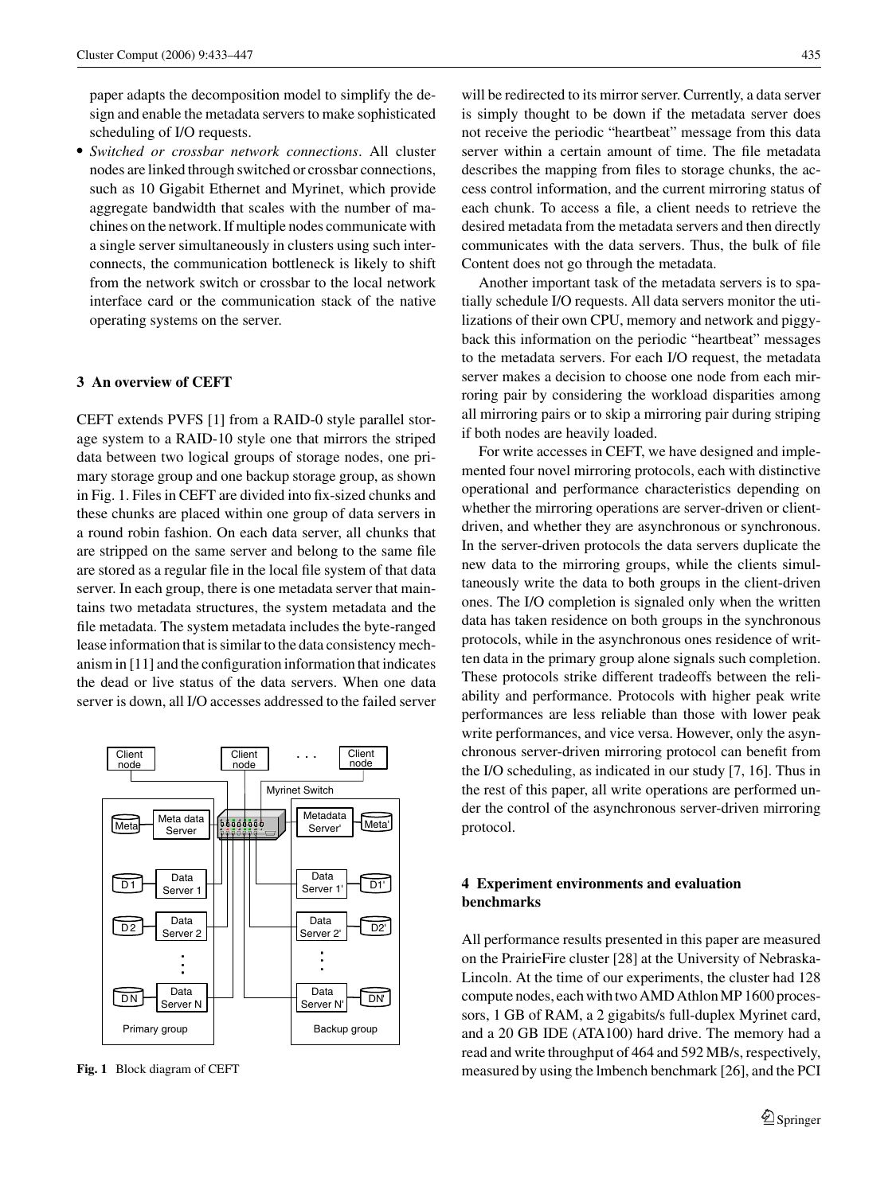paper adapts the decomposition model to simplify the design and enable the metadata servers to make sophisticated scheduling of I/O requests.

- *Switched or crossbar network connections*. All cluster nodes are linked through switched or crossbar connections, such as 10 Gigabit Ethernet and Myrinet, which provide aggregate bandwidth that scales with the number of machines on the network. If multiple nodes communicate with a single server simultaneously in clusters using such interconnects, the communication bottleneck is likely to shift from the network switch or crossbar to the local network interface card or the communication stack of the native operating systems on the server.

# **3 An overview of CEFT**

CEFT extends PVFS [1] from a RAID-0 style parallel storage system to a RAID-10 style one that mirrors the striped data between two logical groups of storage nodes, one primary storage group and one backup storage group, as shown in Fig. 1. Files in CEFT are divided into fix-sized chunks and these chunks are placed within one group of data servers in a round robin fashion. On each data server, all chunks that are stripped on the same server and belong to the same file are stored as a regular file in the local file system of that data server. In each group, there is one metadata server that maintains two metadata structures, the system metadata and the file metadata. The system metadata includes the byte-ranged lease information that is similar to the data consistency mechanism in [11] and the configuration information that indicates the dead or live status of the data servers. When one data server is down, all I/O accesses addressed to the failed server



**Fig. 1** Block diagram of CEFT

will be redirected to its mirror server. Currently, a data server is simply thought to be down if the metadata server does not receive the periodic "heartbeat" message from this data server within a certain amount of time. The file metadata describes the mapping from files to storage chunks, the access control information, and the current mirroring status of each chunk. To access a file, a client needs to retrieve the desired metadata from the metadata servers and then directly communicates with the data servers. Thus, the bulk of file Content does not go through the metadata.

Another important task of the metadata servers is to spatially schedule I/O requests. All data servers monitor the utilizations of their own CPU, memory and network and piggyback this information on the periodic "heartbeat" messages to the metadata servers. For each I/O request, the metadata server makes a decision to choose one node from each mirroring pair by considering the workload disparities among all mirroring pairs or to skip a mirroring pair during striping if both nodes are heavily loaded.

For write accesses in CEFT, we have designed and implemented four novel mirroring protocols, each with distinctive operational and performance characteristics depending on whether the mirroring operations are server-driven or clientdriven, and whether they are asynchronous or synchronous. In the server-driven protocols the data servers duplicate the new data to the mirroring groups, while the clients simultaneously write the data to both groups in the client-driven ones. The I/O completion is signaled only when the written data has taken residence on both groups in the synchronous protocols, while in the asynchronous ones residence of written data in the primary group alone signals such completion. These protocols strike different tradeoffs between the reliability and performance. Protocols with higher peak write performances are less reliable than those with lower peak write performances, and vice versa. However, only the asynchronous server-driven mirroring protocol can benefit from the I/O scheduling, as indicated in our study [7, 16]. Thus in the rest of this paper, all write operations are performed under the control of the asynchronous server-driven mirroring protocol.

# **4 Experiment environments and evaluation benchmarks**

All performance results presented in this paper are measured on the PrairieFire cluster [28] at the University of Nebraska-Lincoln. At the time of our experiments, the cluster had 128 compute nodes, each with two AMD Athlon MP 1600 processors, 1 GB of RAM, a 2 gigabits/s full-duplex Myrinet card, and a 20 GB IDE (ATA100) hard drive. The memory had a read and write throughput of 464 and 592 MB/s, respectively, measured by using the lmbench benchmark [26], and the PCI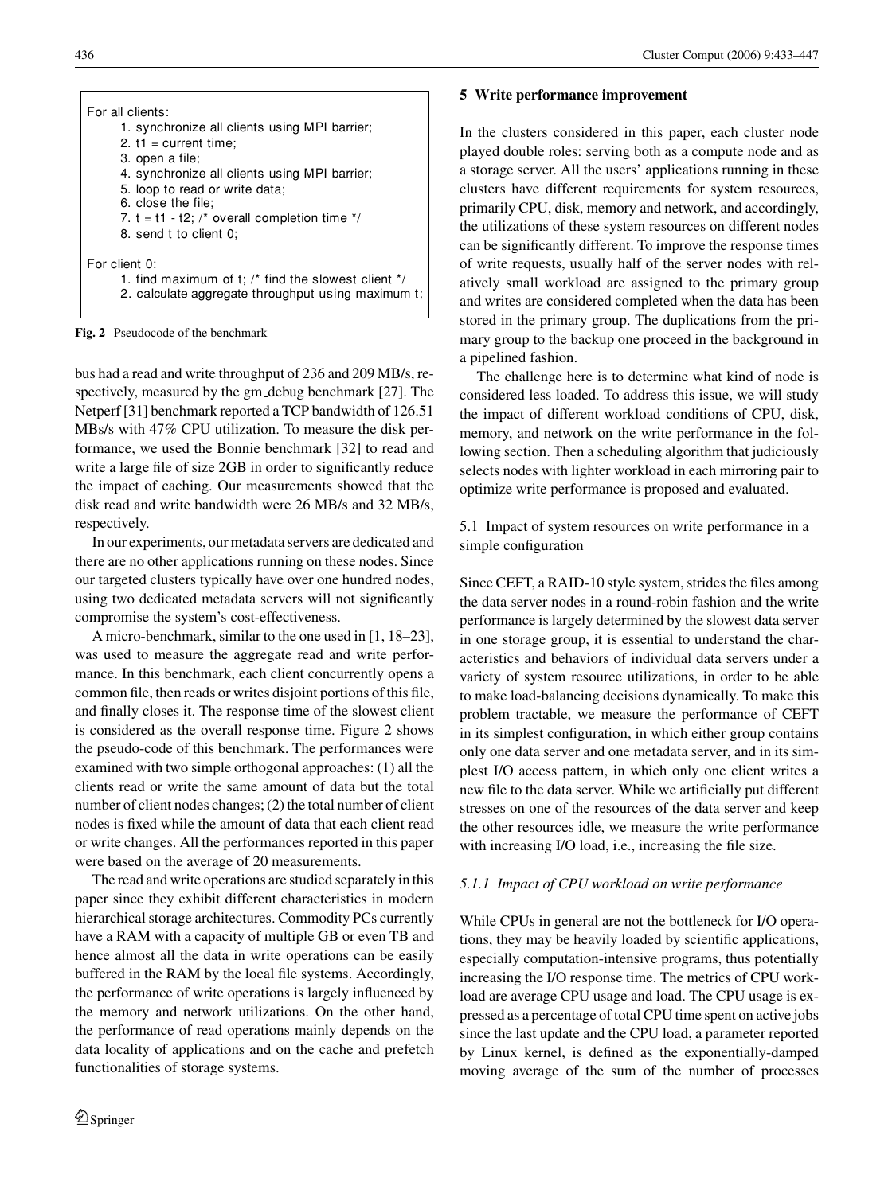| For all clients:                                                  |
|-------------------------------------------------------------------|
| 1. synchronize all clients using MPI barrier;                     |
| 2. $t1 = current time$ ;                                          |
| 3. open a file;                                                   |
| 4. synchronize all clients using MPI barrier;                     |
| 5. loop to read or write data;                                    |
| 6. close the file:                                                |
| 7. $t = t1 - t2$ ; /* overall completion time */                  |
| 8. send t to client 0;                                            |
|                                                                   |
| For client 0:                                                     |
| 1. find maximum of t; $\prime^*$ find the slowest client $\prime$ |
| 2. calculate aggregate throughput using maximum t;                |
|                                                                   |

**Fig. 2** Pseudocode of the benchmark

bus had a read and write throughput of 236 and 209 MB/s, respectively, measured by the gm debug benchmark [27]. The Netperf [31] benchmark reported a TCP bandwidth of 126.51 MBs/s with 47% CPU utilization. To measure the disk performance, we used the Bonnie benchmark [32] to read and write a large file of size 2GB in order to significantly reduce the impact of caching. Our measurements showed that the disk read and write bandwidth were 26 MB/s and 32 MB/s, respectively.

In our experiments, our metadata servers are dedicated and there are no other applications running on these nodes. Since our targeted clusters typically have over one hundred nodes, using two dedicated metadata servers will not significantly compromise the system's cost-effectiveness.

A micro-benchmark, similar to the one used in [1, 18–23], was used to measure the aggregate read and write performance. In this benchmark, each client concurrently opens a common file, then reads or writes disjoint portions of this file, and finally closes it. The response time of the slowest client is considered as the overall response time. Figure 2 shows the pseudo-code of this benchmark. The performances were examined with two simple orthogonal approaches: (1) all the clients read or write the same amount of data but the total number of client nodes changes; (2) the total number of client nodes is fixed while the amount of data that each client read or write changes. All the performances reported in this paper were based on the average of 20 measurements.

The read and write operations are studied separately in this paper since they exhibit different characteristics in modern hierarchical storage architectures. Commodity PCs currently have a RAM with a capacity of multiple GB or even TB and hence almost all the data in write operations can be easily buffered in the RAM by the local file systems. Accordingly, the performance of write operations is largely influenced by the memory and network utilizations. On the other hand, the performance of read operations mainly depends on the data locality of applications and on the cache and prefetch functionalities of storage systems.

### **5 Write performance improvement**

In the clusters considered in this paper, each cluster node played double roles: serving both as a compute node and as a storage server. All the users' applications running in these clusters have different requirements for system resources, primarily CPU, disk, memory and network, and accordingly, the utilizations of these system resources on different nodes can be significantly different. To improve the response times of write requests, usually half of the server nodes with relatively small workload are assigned to the primary group and writes are considered completed when the data has been stored in the primary group. The duplications from the primary group to the backup one proceed in the background in a pipelined fashion.

The challenge here is to determine what kind of node is considered less loaded. To address this issue, we will study the impact of different workload conditions of CPU, disk, memory, and network on the write performance in the following section. Then a scheduling algorithm that judiciously selects nodes with lighter workload in each mirroring pair to optimize write performance is proposed and evaluated.

5.1 Impact of system resources on write performance in a simple configuration

Since CEFT, a RAID-10 style system, strides the files among the data server nodes in a round-robin fashion and the write performance is largely determined by the slowest data server in one storage group, it is essential to understand the characteristics and behaviors of individual data servers under a variety of system resource utilizations, in order to be able to make load-balancing decisions dynamically. To make this problem tractable, we measure the performance of CEFT in its simplest configuration, in which either group contains only one data server and one metadata server, and in its simplest I/O access pattern, in which only one client writes a new file to the data server. While we artificially put different stresses on one of the resources of the data server and keep the other resources idle, we measure the write performance with increasing I/O load, i.e., increasing the file size.

### *5.1.1 Impact of CPU workload on write performance*

While CPUs in general are not the bottleneck for I/O operations, they may be heavily loaded by scientific applications, especially computation-intensive programs, thus potentially increasing the I/O response time. The metrics of CPU workload are average CPU usage and load. The CPU usage is expressed as a percentage of total CPU time spent on active jobs since the last update and the CPU load, a parameter reported by Linux kernel, is defined as the exponentially-damped moving average of the sum of the number of processes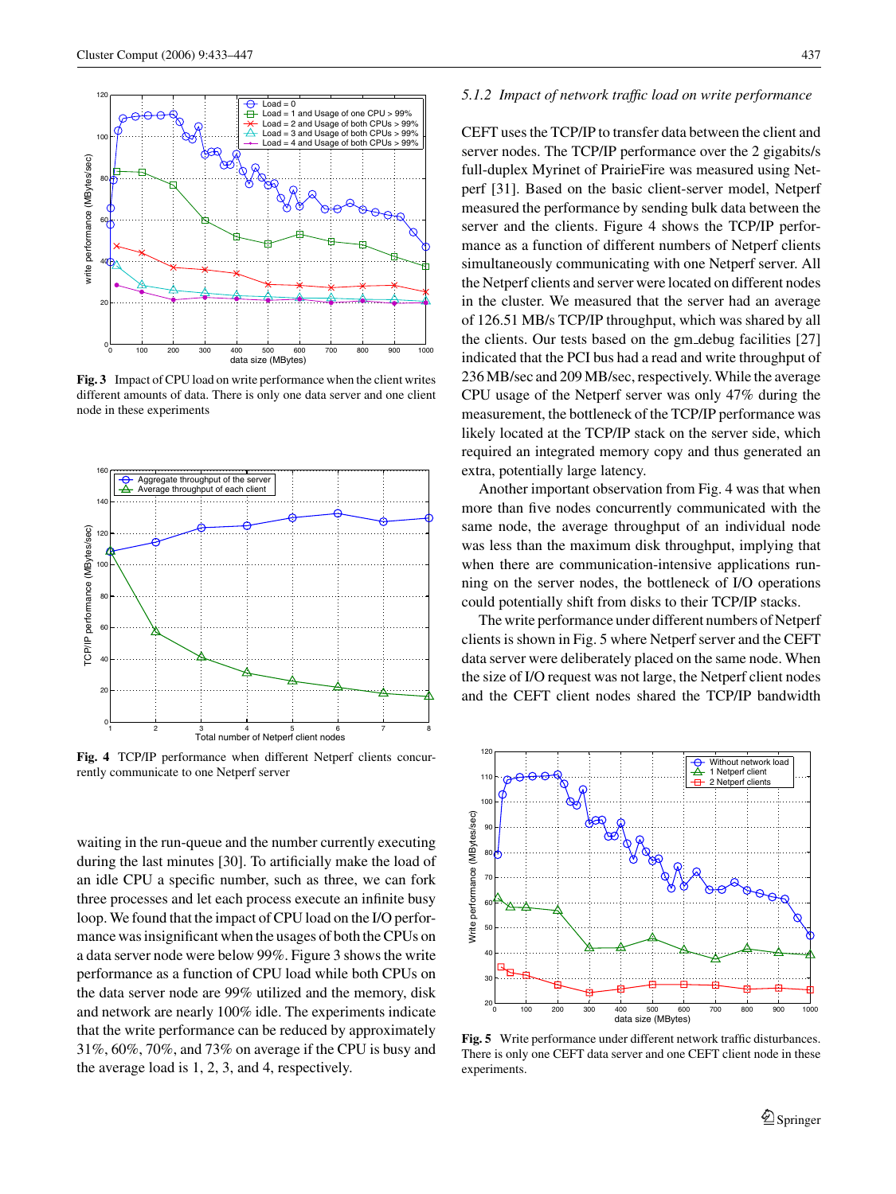

**Fig. 3** Impact of CPU load on write performance when the client writes different amounts of data. There is only one data server and one client node in these experiments



**Fig. 4** TCP/IP performance when different Netperf clients concurrently communicate to one Netperf server

waiting in the run-queue and the number currently executing during the last minutes [30]. To artificially make the load of an idle CPU a specific number, such as three, we can fork three processes and let each process execute an infinite busy loop. We found that the impact of CPU load on the I/O performance was insignificant when the usages of both the CPUs on a data server node were below 99%. Figure 3 shows the write performance as a function of CPU load while both CPUs on the data server node are 99% utilized and the memory, disk and network are nearly 100% idle. The experiments indicate that the write performance can be reduced by approximately 31%, 60%, 70%, and 73% on average if the CPU is busy and the average load is 1, 2, 3, and 4, respectively.

### *5.1.2 Impact of network traffic load on write performance*

CEFT uses the TCP/IP to transfer data between the client and server nodes. The TCP/IP performance over the 2 gigabits/s full-duplex Myrinet of PrairieFire was measured using Netperf [31]. Based on the basic client-server model, Netperf measured the performance by sending bulk data between the server and the clients. Figure 4 shows the TCP/IP performance as a function of different numbers of Netperf clients simultaneously communicating with one Netperf server. All the Netperf clients and server were located on different nodes in the cluster. We measured that the server had an average of 126.51 MB/s TCP/IP throughput, which was shared by all the clients. Our tests based on the gm debug facilities [27] indicated that the PCI bus had a read and write throughput of 236 MB/sec and 209 MB/sec, respectively. While the average CPU usage of the Netperf server was only 47% during the measurement, the bottleneck of the TCP/IP performance was likely located at the TCP/IP stack on the server side, which required an integrated memory copy and thus generated an extra, potentially large latency.

Another important observation from Fig. 4 was that when more than five nodes concurrently communicated with the same node, the average throughput of an individual node was less than the maximum disk throughput, implying that when there are communication-intensive applications running on the server nodes, the bottleneck of I/O operations could potentially shift from disks to their TCP/IP stacks.

The write performance under different numbers of Netperf clients is shown in Fig. 5 where Netperf server and the CEFT data server were deliberately placed on the same node. When the size of I/O request was not large, the Netperf client nodes and the CEFT client nodes shared the TCP/IP bandwidth



**Fig. 5** Write performance under different network traffic disturbances. There is only one CEFT data server and one CEFT client node in these experiments.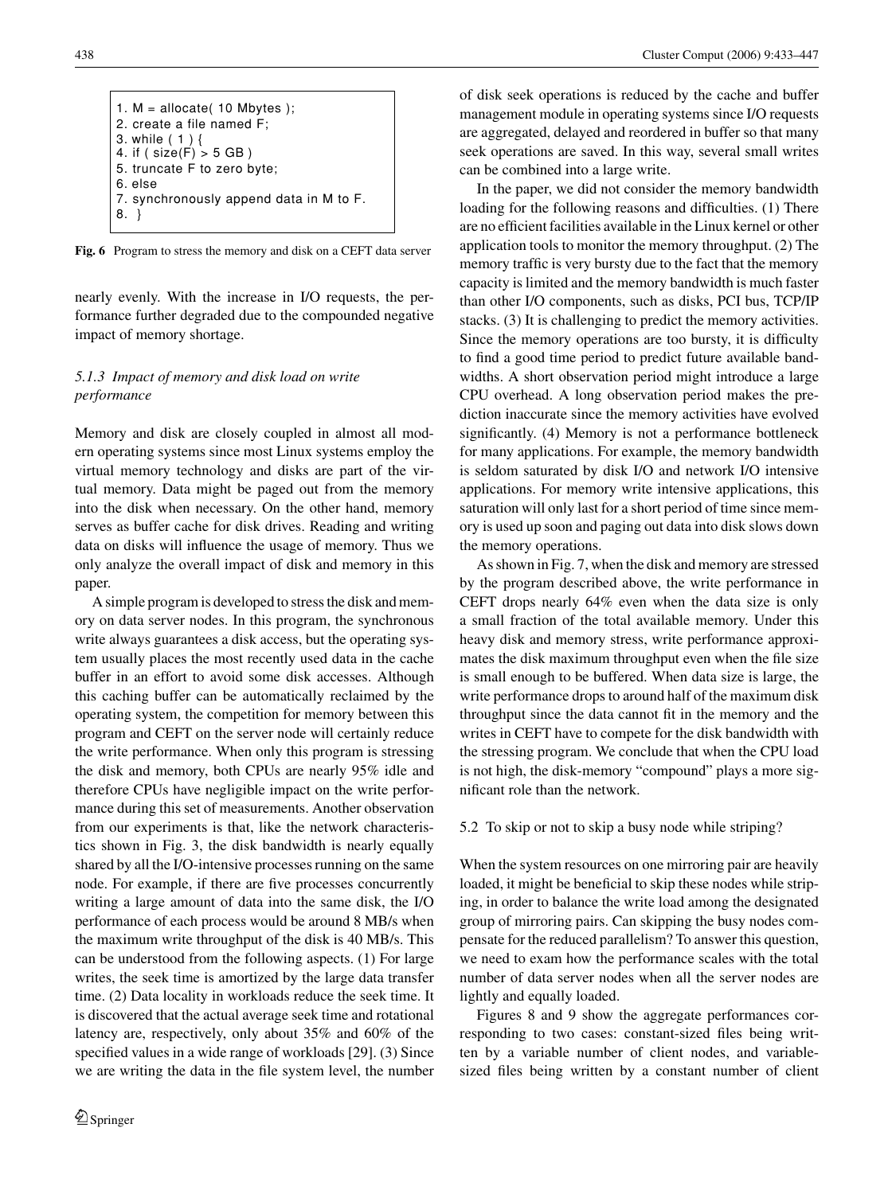**Fig. 6** Program to stress the memory and disk on a CEFT data server

nearly evenly. With the increase in I/O requests, the performance further degraded due to the compounded negative impact of memory shortage.

# *5.1.3 Impact of memory and disk load on write performance*

Memory and disk are closely coupled in almost all modern operating systems since most Linux systems employ the virtual memory technology and disks are part of the virtual memory. Data might be paged out from the memory into the disk when necessary. On the other hand, memory serves as buffer cache for disk drives. Reading and writing data on disks will influence the usage of memory. Thus we only analyze the overall impact of disk and memory in this paper.

A simple program is developed to stress the disk and memory on data server nodes. In this program, the synchronous write always guarantees a disk access, but the operating system usually places the most recently used data in the cache buffer in an effort to avoid some disk accesses. Although this caching buffer can be automatically reclaimed by the operating system, the competition for memory between this program and CEFT on the server node will certainly reduce the write performance. When only this program is stressing the disk and memory, both CPUs are nearly 95% idle and therefore CPUs have negligible impact on the write performance during this set of measurements. Another observation from our experiments is that, like the network characteristics shown in Fig. 3, the disk bandwidth is nearly equally shared by all the I/O-intensive processes running on the same node. For example, if there are five processes concurrently writing a large amount of data into the same disk, the I/O performance of each process would be around 8 MB/s when the maximum write throughput of the disk is 40 MB/s. This can be understood from the following aspects. (1) For large writes, the seek time is amortized by the large data transfer time. (2) Data locality in workloads reduce the seek time. It is discovered that the actual average seek time and rotational latency are, respectively, only about 35% and 60% of the specified values in a wide range of workloads [29]. (3) Since we are writing the data in the file system level, the number

of disk seek operations is reduced by the cache and buffer management module in operating systems since I/O requests are aggregated, delayed and reordered in buffer so that many seek operations are saved. In this way, several small writes can be combined into a large write.

In the paper, we did not consider the memory bandwidth loading for the following reasons and difficulties. (1) There are no efficient facilities available in the Linux kernel or other application tools to monitor the memory throughput. (2) The memory traffic is very bursty due to the fact that the memory capacity is limited and the memory bandwidth is much faster than other I/O components, such as disks, PCI bus, TCP/IP stacks. (3) It is challenging to predict the memory activities. Since the memory operations are too bursty, it is difficulty to find a good time period to predict future available bandwidths. A short observation period might introduce a large CPU overhead. A long observation period makes the prediction inaccurate since the memory activities have evolved significantly. (4) Memory is not a performance bottleneck for many applications. For example, the memory bandwidth is seldom saturated by disk I/O and network I/O intensive applications. For memory write intensive applications, this saturation will only last for a short period of time since memory is used up soon and paging out data into disk slows down the memory operations.

As shown in Fig. 7, when the disk and memory are stressed by the program described above, the write performance in CEFT drops nearly 64% even when the data size is only a small fraction of the total available memory. Under this heavy disk and memory stress, write performance approximates the disk maximum throughput even when the file size is small enough to be buffered. When data size is large, the write performance drops to around half of the maximum disk throughput since the data cannot fit in the memory and the writes in CEFT have to compete for the disk bandwidth with the stressing program. We conclude that when the CPU load is not high, the disk-memory "compound" plays a more significant role than the network.

# 5.2 To skip or not to skip a busy node while striping?

When the system resources on one mirroring pair are heavily loaded, it might be beneficial to skip these nodes while striping, in order to balance the write load among the designated group of mirroring pairs. Can skipping the busy nodes compensate for the reduced parallelism? To answer this question, we need to exam how the performance scales with the total number of data server nodes when all the server nodes are lightly and equally loaded.

Figures 8 and 9 show the aggregate performances corresponding to two cases: constant-sized files being written by a variable number of client nodes, and variablesized files being written by a constant number of client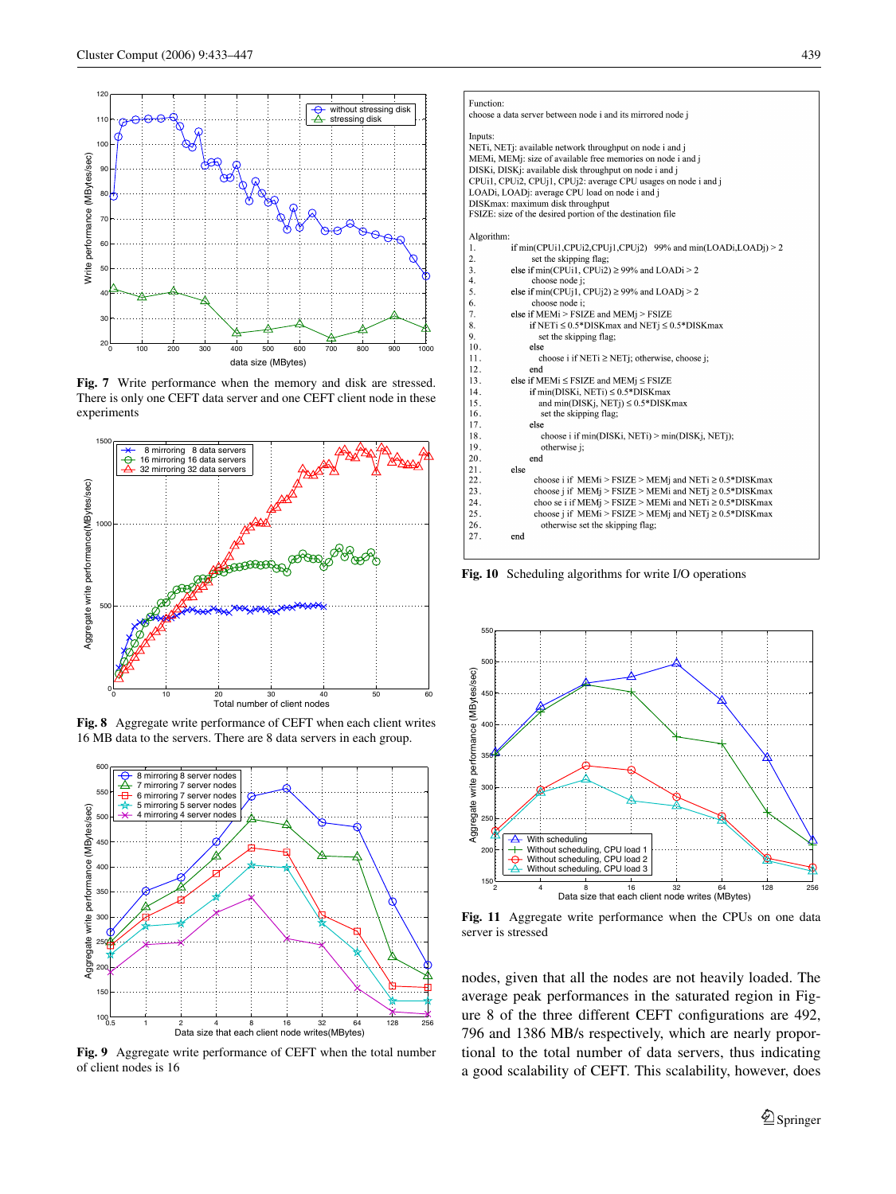

**Fig. 7** Write performance when the memory and disk are stressed. There is only one CEFT data server and one CEFT client node in these experiments



**Fig. 8** Aggregate write performance of CEFT when each client writes 16 MB data to the servers. There are 8 data servers in each group.



**Fig. 9** Aggregate write performance of CEFT when the total number of client nodes is 16

# Function

choose a data server between node i and its mirrored node j

### Inputs

NETi, NETj: available network throughput on node i and j MEMi, MEMj: size of available free memories on node i and j DISKi, DISKj: available disk throughput on node i and j CPUi1, CPUi2, CPUj1, CPUj2: average CPU usages on node i and j LOADi, LOADj: average CPU load on node i and j DISKmax: maximum disk throughput FSIZE: size of the desired portion of the destination file

#### Algorithm:

 $\mathbf{1}$  $\overline{2}$ 

| 1.  | if $min(CPUi1, CPUi2, CPUi1, CPUi2)$ 99% and $min(LOADi, LOADi) > 2$ |
|-----|----------------------------------------------------------------------|
| 2.  | set the skipping flag;                                               |
| 3.  | else if min(CPUi1, CPUi2) $\geq$ 99% and LOADi > 2                   |
| 4.  | choose node j;                                                       |
| 5.  | else if min(CPUj1, CPUj2) $\geq$ 99% and LOADj > 2                   |
| 6.  | choose node i;                                                       |
| 7.  | else if MEMi > FSIZE and MEMj > FSIZE                                |
| 8.  | if NETi $\leq 0.5*$ DISK max and NET $j \leq 0.5*$ DISK max          |
| 9.  | set the skipping flag;                                               |
| 10. | else                                                                 |
| 11. | choose i if NETi $\geq$ NET <sub>i</sub> ; otherwise, choose j;      |
| 12. | end                                                                  |
| 13. | else if MEMi $\leq$ FSIZE and MEMj $\leq$ FSIZE                      |
| 14. | if min( $DISKi$ , NETi) $\leq 0.5*DISKmax$                           |
| 15. | and min( $DISKj$ , NET $j$ ) $\leq 0.5*DISKmax$                      |
| 16. | set the skipping flag;                                               |
| 17. | else                                                                 |
| 18. | choose i if min(DISKi, NETi) > min(DISKj, NETj);                     |
| 19. | otherwise i:                                                         |
| 20. | end                                                                  |
| 21. | else                                                                 |
| 22. | choose i if $MEMi > FSIZE > MEMj$ and $NETi \ge 0.5 * DISKmax$       |
| 23. | choose j if $MEMj > FSIZE > MEMi$ and $NETj \ge 0.5 * DISK$ max      |
| 24. | choo se i if $MEMi > FSIZE > MEMi$ and $NETi \ge 0.5 * DISKmax$      |
| 25. | choose j if $MEMi > FSIZE > MEMj$ and $NETj \ge 0.5 * DISKmax$       |
| 26. | otherwise set the skipping flag;                                     |
| 27. | end                                                                  |
|     |                                                                      |

**Fig. 10** Scheduling algorithms for write I/O operations



**Fig. 11** Aggregate write performance when the CPUs on one data server is stressed

nodes, given that all the nodes are not heavily loaded. The average peak performances in the saturated region in Figure 8 of the three different CEFT configurations are 492, 796 and 1386 MB/s respectively, which are nearly proportional to the total number of data servers, thus indicating a good scalability of CEFT. This scalability, however, does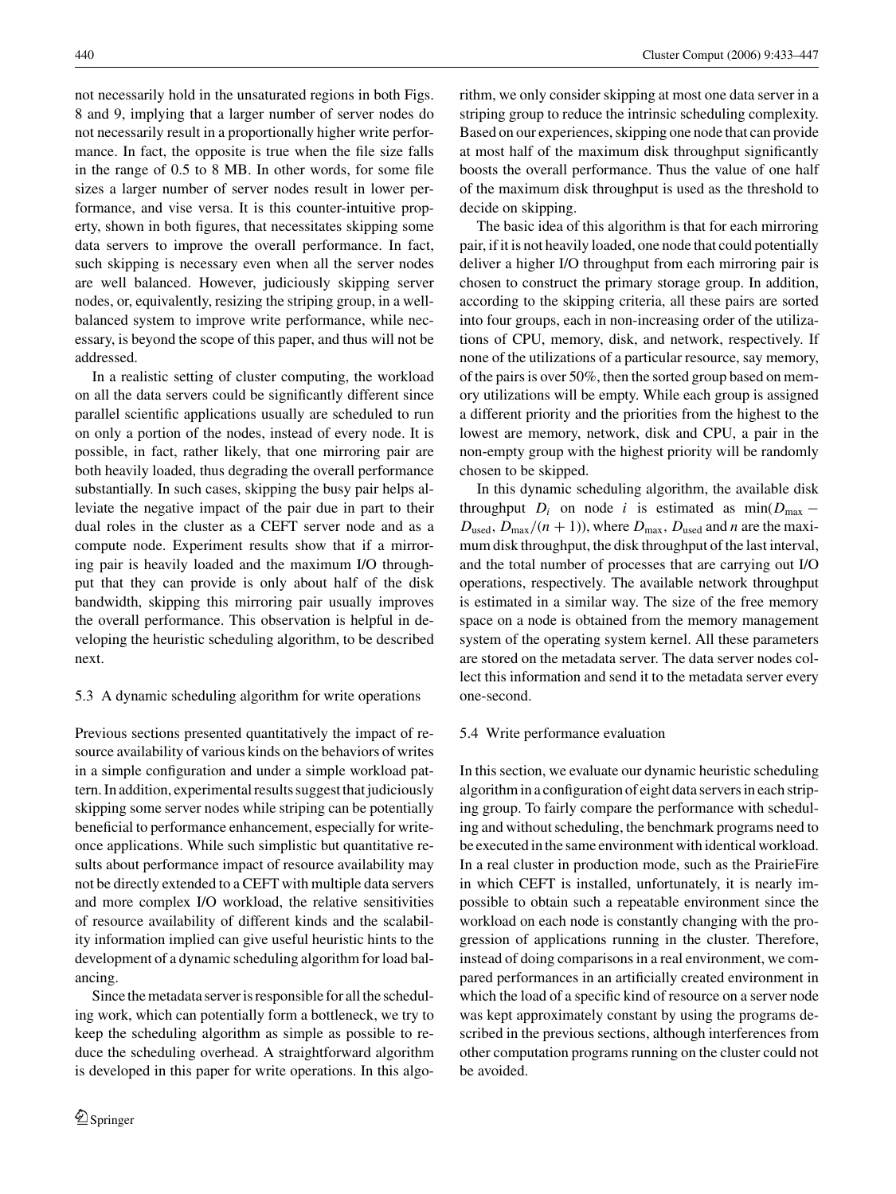not necessarily hold in the unsaturated regions in both Figs. 8 and 9, implying that a larger number of server nodes do not necessarily result in a proportionally higher write performance. In fact, the opposite is true when the file size falls in the range of 0.5 to 8 MB. In other words, for some file sizes a larger number of server nodes result in lower performance, and vise versa. It is this counter-intuitive property, shown in both figures, that necessitates skipping some data servers to improve the overall performance. In fact, such skipping is necessary even when all the server nodes are well balanced. However, judiciously skipping server nodes, or, equivalently, resizing the striping group, in a wellbalanced system to improve write performance, while necessary, is beyond the scope of this paper, and thus will not be addressed.

In a realistic setting of cluster computing, the workload on all the data servers could be significantly different since parallel scientific applications usually are scheduled to run on only a portion of the nodes, instead of every node. It is possible, in fact, rather likely, that one mirroring pair are both heavily loaded, thus degrading the overall performance substantially. In such cases, skipping the busy pair helps alleviate the negative impact of the pair due in part to their dual roles in the cluster as a CEFT server node and as a compute node. Experiment results show that if a mirroring pair is heavily loaded and the maximum I/O throughput that they can provide is only about half of the disk bandwidth, skipping this mirroring pair usually improves the overall performance. This observation is helpful in developing the heuristic scheduling algorithm, to be described next.

### 5.3 A dynamic scheduling algorithm for write operations

Previous sections presented quantitatively the impact of resource availability of various kinds on the behaviors of writes in a simple configuration and under a simple workload pattern. In addition, experimental results suggest that judiciously skipping some server nodes while striping can be potentially beneficial to performance enhancement, especially for writeonce applications. While such simplistic but quantitative results about performance impact of resource availability may not be directly extended to a CEFT with multiple data servers and more complex I/O workload, the relative sensitivities of resource availability of different kinds and the scalability information implied can give useful heuristic hints to the development of a dynamic scheduling algorithm for load balancing.

Since the metadata server is responsible for all the scheduling work, which can potentially form a bottleneck, we try to keep the scheduling algorithm as simple as possible to reduce the scheduling overhead. A straightforward algorithm is developed in this paper for write operations. In this algorithm, we only consider skipping at most one data server in a striping group to reduce the intrinsic scheduling complexity. Based on our experiences, skipping one node that can provide at most half of the maximum disk throughput significantly boosts the overall performance. Thus the value of one half of the maximum disk throughput is used as the threshold to decide on skipping.

The basic idea of this algorithm is that for each mirroring pair, if it is not heavily loaded, one node that could potentially deliver a higher I/O throughput from each mirroring pair is chosen to construct the primary storage group. In addition, according to the skipping criteria, all these pairs are sorted into four groups, each in non-increasing order of the utilizations of CPU, memory, disk, and network, respectively. If none of the utilizations of a particular resource, say memory, of the pairs is over 50%, then the sorted group based on memory utilizations will be empty. While each group is assigned a different priority and the priorities from the highest to the lowest are memory, network, disk and CPU, a pair in the non-empty group with the highest priority will be randomly chosen to be skipped.

In this dynamic scheduling algorithm, the available disk throughput  $D_i$  on node *i* is estimated as min( $D_{\text{max}}$  –  $D_{used}$ ,  $D_{max}/(n + 1)$ , where  $D_{max}$ ,  $D_{used}$  and *n* are the maximum disk throughput, the disk throughput of the last interval, and the total number of processes that are carrying out I/O operations, respectively. The available network throughput is estimated in a similar way. The size of the free memory space on a node is obtained from the memory management system of the operating system kernel. All these parameters are stored on the metadata server. The data server nodes collect this information and send it to the metadata server every one-second.

# 5.4 Write performance evaluation

In this section, we evaluate our dynamic heuristic scheduling algorithm in a configuration of eight data servers in each striping group. To fairly compare the performance with scheduling and without scheduling, the benchmark programs need to be executed in the same environment with identical workload. In a real cluster in production mode, such as the PrairieFire in which CEFT is installed, unfortunately, it is nearly impossible to obtain such a repeatable environment since the workload on each node is constantly changing with the progression of applications running in the cluster. Therefore, instead of doing comparisons in a real environment, we compared performances in an artificially created environment in which the load of a specific kind of resource on a server node was kept approximately constant by using the programs described in the previous sections, although interferences from other computation programs running on the cluster could not be avoided.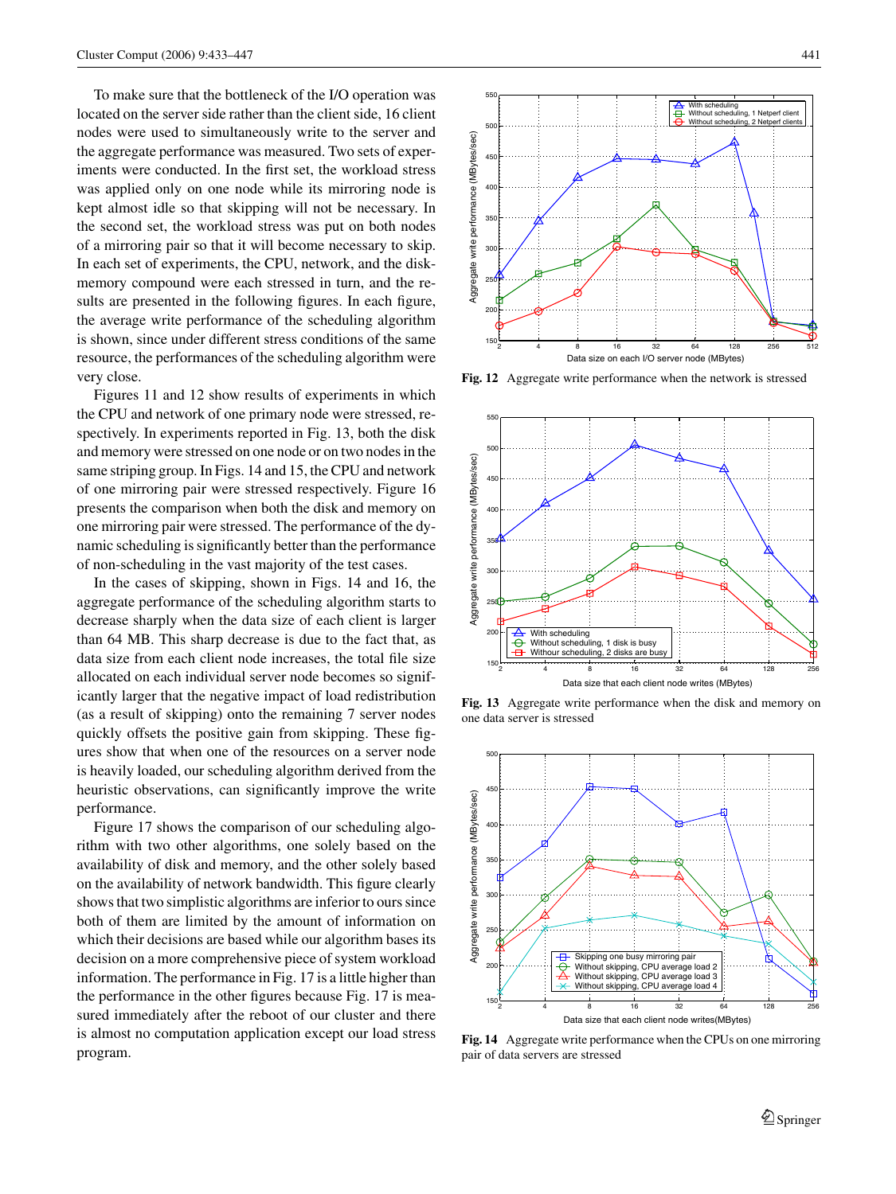To make sure that the bottleneck of the I/O operation was located on the server side rather than the client side, 16 client nodes were used to simultaneously write to the server and the aggregate performance was measured. Two sets of experiments were conducted. In the first set, the workload stress was applied only on one node while its mirroring node is kept almost idle so that skipping will not be necessary. In the second set, the workload stress was put on both nodes of a mirroring pair so that it will become necessary to skip. In each set of experiments, the CPU, network, and the diskmemory compound were each stressed in turn, and the results are presented in the following figures. In each figure, the average write performance of the scheduling algorithm is shown, since under different stress conditions of the same resource, the performances of the scheduling algorithm were very close.

Figures 11 and 12 show results of experiments in which the CPU and network of one primary node were stressed, respectively. In experiments reported in Fig. 13, both the disk and memory were stressed on one node or on two nodes in the same striping group. In Figs. 14 and 15, the CPU and network of one mirroring pair were stressed respectively. Figure 16 presents the comparison when both the disk and memory on one mirroring pair were stressed. The performance of the dynamic scheduling is significantly better than the performance of non-scheduling in the vast majority of the test cases.

In the cases of skipping, shown in Figs. 14 and 16, the aggregate performance of the scheduling algorithm starts to decrease sharply when the data size of each client is larger than 64 MB. This sharp decrease is due to the fact that, as data size from each client node increases, the total file size allocated on each individual server node becomes so significantly larger that the negative impact of load redistribution (as a result of skipping) onto the remaining 7 server nodes quickly offsets the positive gain from skipping. These figures show that when one of the resources on a server node is heavily loaded, our scheduling algorithm derived from the heuristic observations, can significantly improve the write performance.

Figure 17 shows the comparison of our scheduling algorithm with two other algorithms, one solely based on the availability of disk and memory, and the other solely based on the availability of network bandwidth. This figure clearly shows that two simplistic algorithms are inferior to ours since both of them are limited by the amount of information on which their decisions are based while our algorithm bases its decision on a more comprehensive piece of system workload information. The performance in Fig. 17 is a little higher than the performance in the other figures because Fig. 17 is measured immediately after the reboot of our cluster and there is almost no computation application except our load stress program.



**Fig. 12** Aggregate write performance when the network is stressed



**Fig. 13** Aggregate write performance when the disk and memory on one data server is stressed



**Fig. 14** Aggregate write performance when the CPUs on one mirroring pair of data servers are stressed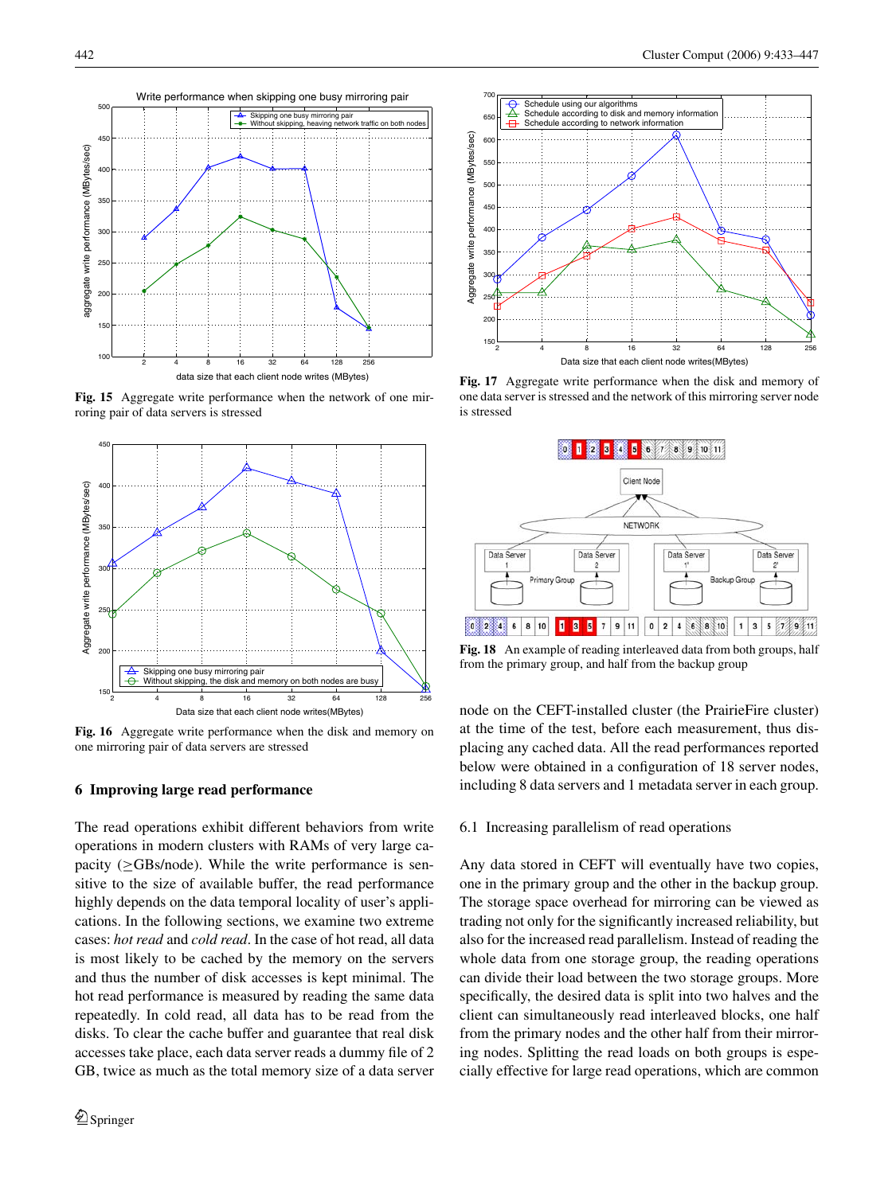

**Fig. 15** Aggregate write performance when the network of one mirroring pair of data servers is stressed



**Fig. 16** Aggregate write performance when the disk and memory on one mirroring pair of data servers are stressed

# **6 Improving large read performance**

The read operations exhibit different behaviors from write operations in modern clusters with RAMs of very large capacity ( $\geq$ GBs/node). While the write performance is sensitive to the size of available buffer, the read performance highly depends on the data temporal locality of user's applications. In the following sections, we examine two extreme cases: *hot read* and *cold read*. In the case of hot read, all data is most likely to be cached by the memory on the servers and thus the number of disk accesses is kept minimal. The hot read performance is measured by reading the same data repeatedly. In cold read, all data has to be read from the disks. To clear the cache buffer and guarantee that real disk accesses take place, each data server reads a dummy file of 2 GB, twice as much as the total memory size of a data server



**Fig. 17** Aggregate write performance when the disk and memory of one data server is stressed and the network of this mirroring server node is stressed



**Fig. 18** An example of reading interleaved data from both groups, half from the primary group, and half from the backup group

node on the CEFT-installed cluster (the PrairieFire cluster) at the time of the test, before each measurement, thus displacing any cached data. All the read performances reported below were obtained in a configuration of 18 server nodes, including 8 data servers and 1 metadata server in each group.

### 6.1 Increasing parallelism of read operations

Any data stored in CEFT will eventually have two copies, one in the primary group and the other in the backup group. The storage space overhead for mirroring can be viewed as trading not only for the significantly increased reliability, but also for the increased read parallelism. Instead of reading the whole data from one storage group, the reading operations can divide their load between the two storage groups. More specifically, the desired data is split into two halves and the client can simultaneously read interleaved blocks, one half from the primary nodes and the other half from their mirroring nodes. Splitting the read loads on both groups is especially effective for large read operations, which are common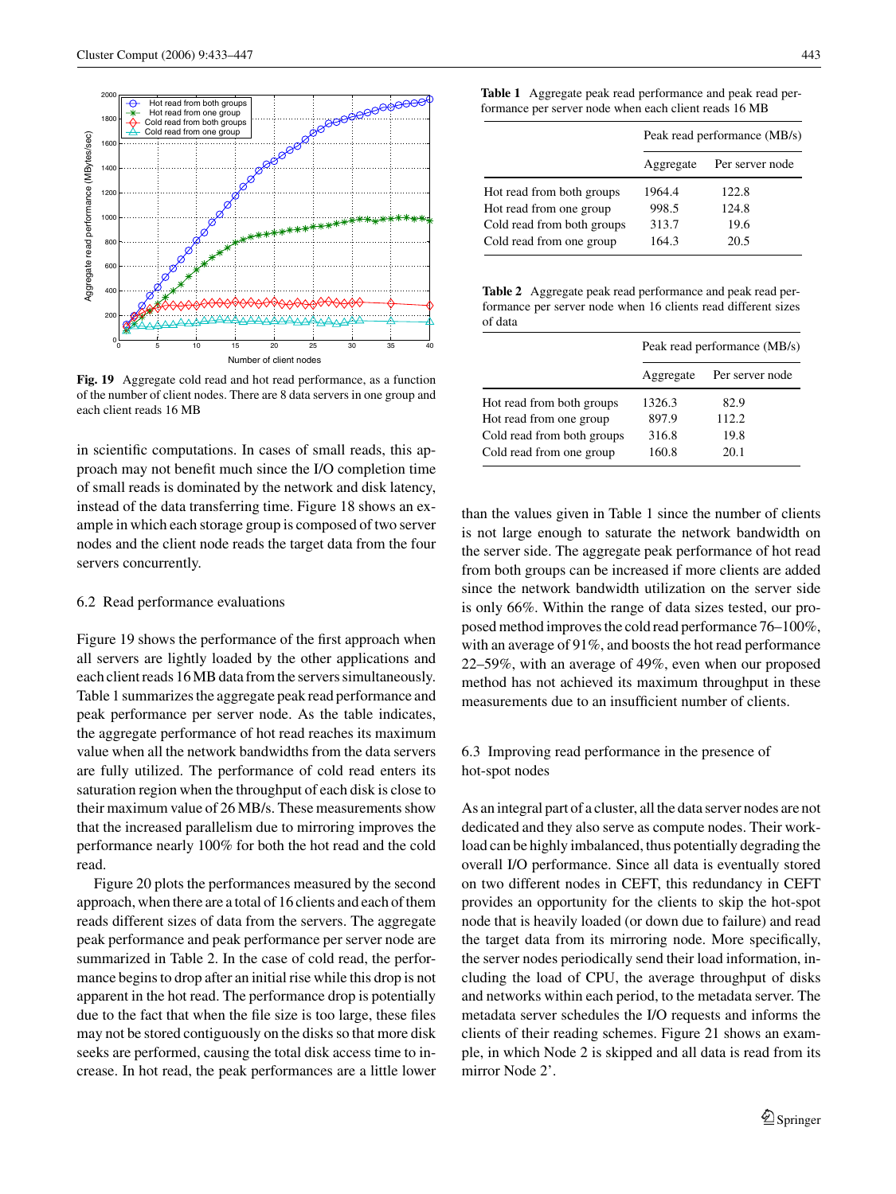

**Fig. 19** Aggregate cold read and hot read performance, as a function of the number of client nodes. There are 8 data servers in one group and each client reads 16 MB

in scientific computations. In cases of small reads, this approach may not benefit much since the I/O completion time of small reads is dominated by the network and disk latency, instead of the data transferring time. Figure 18 shows an example in which each storage group is composed of two server nodes and the client node reads the target data from the four servers concurrently.

### 6.2 Read performance evaluations

Figure 19 shows the performance of the first approach when all servers are lightly loaded by the other applications and each client reads 16 MB data from the servers simultaneously. Table 1 summarizes the aggregate peak read performance and peak performance per server node. As the table indicates, the aggregate performance of hot read reaches its maximum value when all the network bandwidths from the data servers are fully utilized. The performance of cold read enters its saturation region when the throughput of each disk is close to their maximum value of 26 MB/s. These measurements show that the increased parallelism due to mirroring improves the performance nearly 100% for both the hot read and the cold read.

Figure 20 plots the performances measured by the second approach, when there are a total of 16 clients and each of them reads different sizes of data from the servers. The aggregate peak performance and peak performance per server node are summarized in Table 2. In the case of cold read, the performance begins to drop after an initial rise while this drop is not apparent in the hot read. The performance drop is potentially due to the fact that when the file size is too large, these files may not be stored contiguously on the disks so that more disk seeks are performed, causing the total disk access time to increase. In hot read, the peak performances are a little lower

**Table 1** Aggregate peak read performance and peak read performance per server node when each client reads 16 MB

|                            | Peak read performance (MB/s) |                 |
|----------------------------|------------------------------|-----------------|
|                            | Aggregate                    | Per server node |
| Hot read from both groups  | 1964.4                       | 122.8           |
| Hot read from one group    | 998.5                        | 124.8           |
| Cold read from both groups | 313.7                        | 19.6            |
| Cold read from one group   | 164.3                        | 20.5            |

**Table 2** Aggregate peak read performance and peak read performance per server node when 16 clients read different sizes of data

|                                                                                    | Peak read performance (MB/s) |                       |
|------------------------------------------------------------------------------------|------------------------------|-----------------------|
|                                                                                    | Aggregate                    | Per server node       |
| Hot read from both groups<br>Hot read from one group<br>Cold read from both groups | 1326.3<br>897.9<br>316.8     | 82.9<br>112.2<br>19.8 |
| Cold read from one group                                                           | 160.8                        | 20.1                  |

than the values given in Table 1 since the number of clients is not large enough to saturate the network bandwidth on the server side. The aggregate peak performance of hot read from both groups can be increased if more clients are added since the network bandwidth utilization on the server side is only 66%. Within the range of data sizes tested, our proposed method improves the cold read performance 76–100%, with an average of 91%, and boosts the hot read performance 22–59%, with an average of 49%, even when our proposed method has not achieved its maximum throughput in these measurements due to an insufficient number of clients.

# 6.3 Improving read performance in the presence of hot-spot nodes

As an integral part of a cluster, all the data server nodes are not dedicated and they also serve as compute nodes. Their workload can be highly imbalanced, thus potentially degrading the overall I/O performance. Since all data is eventually stored on two different nodes in CEFT, this redundancy in CEFT provides an opportunity for the clients to skip the hot-spot node that is heavily loaded (or down due to failure) and read the target data from its mirroring node. More specifically, the server nodes periodically send their load information, including the load of CPU, the average throughput of disks and networks within each period, to the metadata server. The metadata server schedules the I/O requests and informs the clients of their reading schemes. Figure 21 shows an example, in which Node 2 is skipped and all data is read from its mirror Node 2'.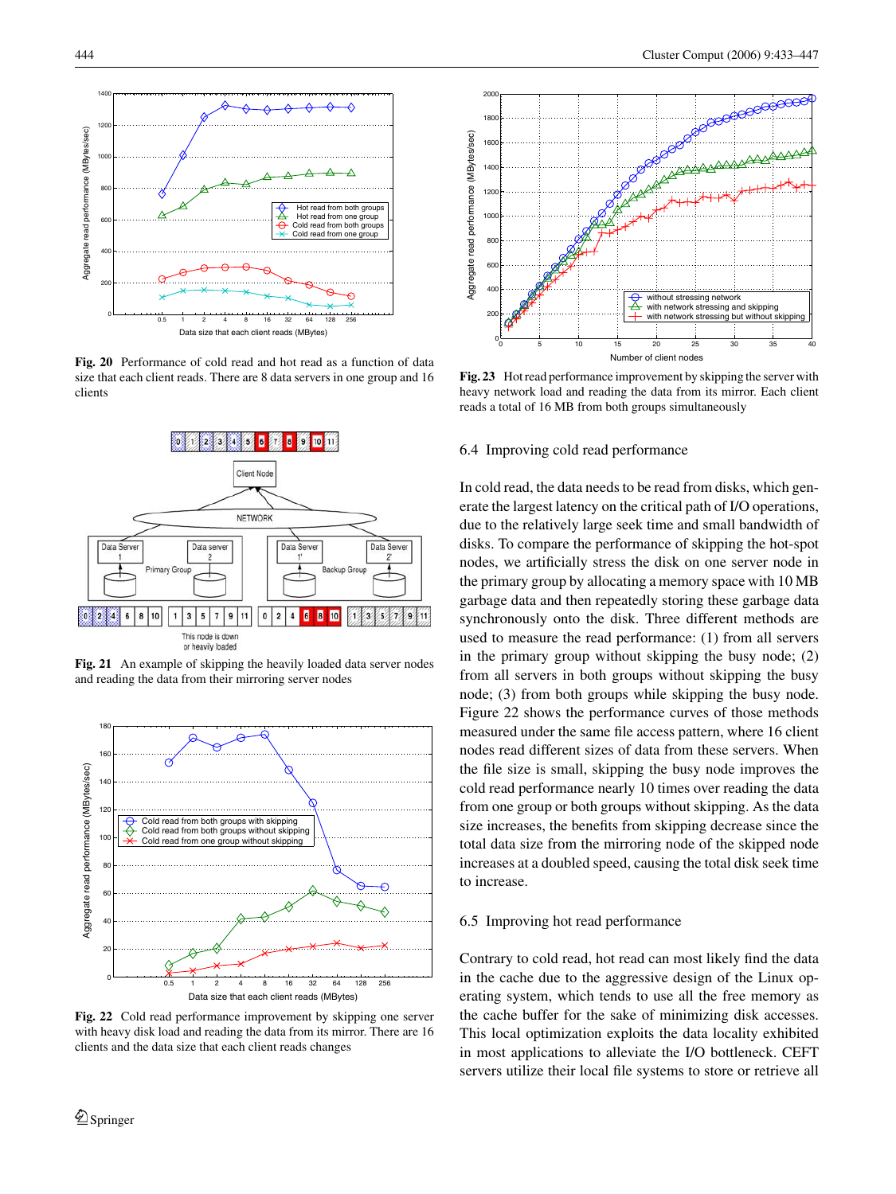

**Fig. 20** Performance of cold read and hot read as a function of data size that each client reads. There are 8 data servers in one group and 16 clients



**Fig. 21** An example of skipping the heavily loaded data server nodes and reading the data from their mirroring server nodes



**Fig. 22** Cold read performance improvement by skipping one server with heavy disk load and reading the data from its mirror. There are 16 clients and the data size that each client reads changes



**Fig. 23** Hot read performance improvement by skipping the server with heavy network load and reading the data from its mirror. Each client reads a total of 16 MB from both groups simultaneously

### 6.4 Improving cold read performance

In cold read, the data needs to be read from disks, which generate the largest latency on the critical path of I/O operations, due to the relatively large seek time and small bandwidth of disks. To compare the performance of skipping the hot-spot nodes, we artificially stress the disk on one server node in the primary group by allocating a memory space with 10 MB garbage data and then repeatedly storing these garbage data synchronously onto the disk. Three different methods are used to measure the read performance: (1) from all servers in the primary group without skipping the busy node; (2) from all servers in both groups without skipping the busy node; (3) from both groups while skipping the busy node. Figure 22 shows the performance curves of those methods measured under the same file access pattern, where 16 client nodes read different sizes of data from these servers. When the file size is small, skipping the busy node improves the cold read performance nearly 10 times over reading the data from one group or both groups without skipping. As the data size increases, the benefits from skipping decrease since the total data size from the mirroring node of the skipped node increases at a doubled speed, causing the total disk seek time to increase.

### 6.5 Improving hot read performance

Contrary to cold read, hot read can most likely find the data in the cache due to the aggressive design of the Linux operating system, which tends to use all the free memory as the cache buffer for the sake of minimizing disk accesses. This local optimization exploits the data locality exhibited in most applications to alleviate the I/O bottleneck. CEFT servers utilize their local file systems to store or retrieve all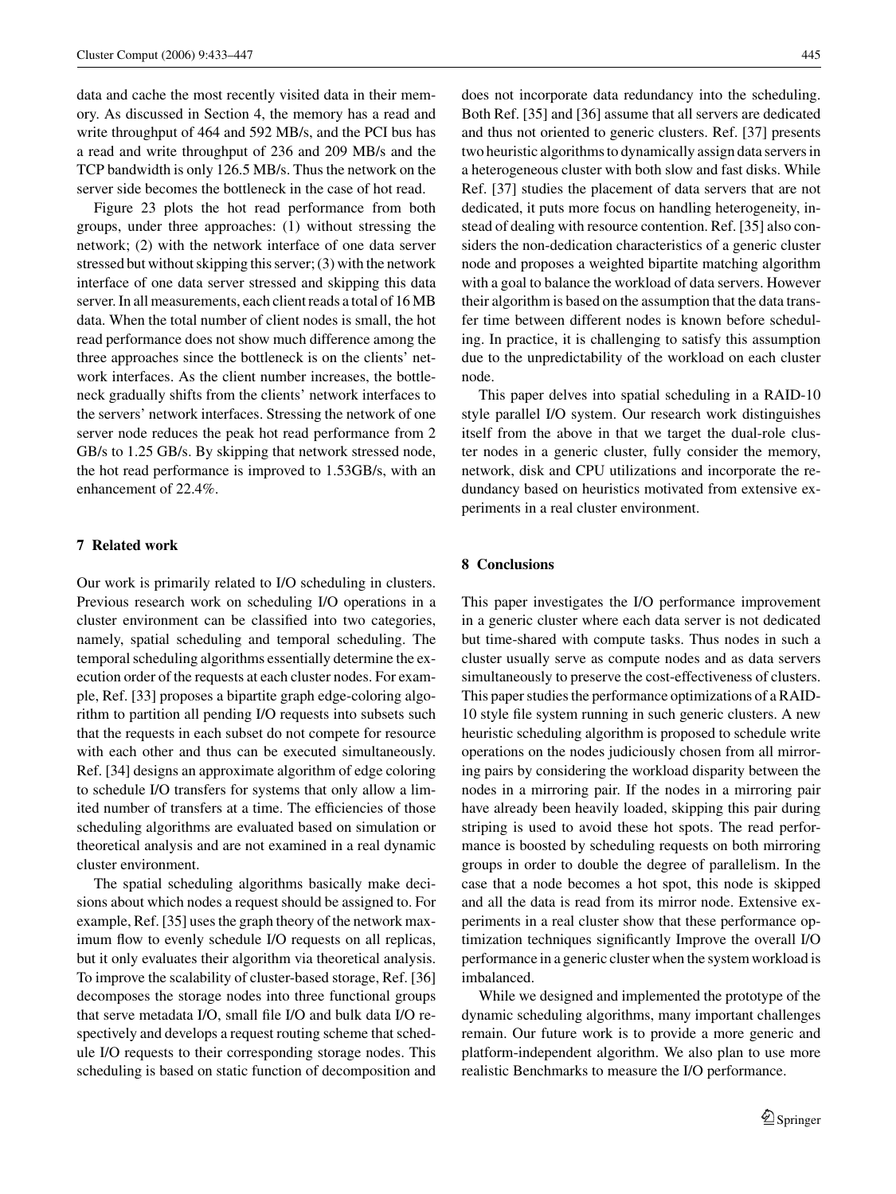data and cache the most recently visited data in their memory. As discussed in Section 4, the memory has a read and write throughput of 464 and 592 MB/s, and the PCI bus has a read and write throughput of 236 and 209 MB/s and the TCP bandwidth is only 126.5 MB/s. Thus the network on the server side becomes the bottleneck in the case of hot read.

Figure 23 plots the hot read performance from both groups, under three approaches: (1) without stressing the network; (2) with the network interface of one data server stressed but without skipping this server; (3) with the network interface of one data server stressed and skipping this data server. In all measurements, each client reads a total of 16 MB data. When the total number of client nodes is small, the hot read performance does not show much difference among the three approaches since the bottleneck is on the clients' network interfaces. As the client number increases, the bottleneck gradually shifts from the clients' network interfaces to the servers' network interfaces. Stressing the network of one server node reduces the peak hot read performance from 2 GB/s to 1.25 GB/s. By skipping that network stressed node, the hot read performance is improved to 1.53GB/s, with an enhancement of 22.4%.

# **7 Related work**

Our work is primarily related to I/O scheduling in clusters. Previous research work on scheduling I/O operations in a cluster environment can be classified into two categories, namely, spatial scheduling and temporal scheduling. The temporal scheduling algorithms essentially determine the execution order of the requests at each cluster nodes. For example, Ref. [33] proposes a bipartite graph edge-coloring algorithm to partition all pending I/O requests into subsets such that the requests in each subset do not compete for resource with each other and thus can be executed simultaneously. Ref. [34] designs an approximate algorithm of edge coloring to schedule I/O transfers for systems that only allow a limited number of transfers at a time. The efficiencies of those scheduling algorithms are evaluated based on simulation or theoretical analysis and are not examined in a real dynamic cluster environment.

The spatial scheduling algorithms basically make decisions about which nodes a request should be assigned to. For example, Ref. [35] uses the graph theory of the network maximum flow to evenly schedule I/O requests on all replicas, but it only evaluates their algorithm via theoretical analysis. To improve the scalability of cluster-based storage, Ref. [36] decomposes the storage nodes into three functional groups that serve metadata I/O, small file I/O and bulk data I/O respectively and develops a request routing scheme that schedule I/O requests to their corresponding storage nodes. This scheduling is based on static function of decomposition and

does not incorporate data redundancy into the scheduling. Both Ref. [35] and [36] assume that all servers are dedicated and thus not oriented to generic clusters. Ref. [37] presents two heuristic algorithms to dynamically assign data servers in a heterogeneous cluster with both slow and fast disks. While Ref. [37] studies the placement of data servers that are not dedicated, it puts more focus on handling heterogeneity, instead of dealing with resource contention. Ref. [35] also considers the non-dedication characteristics of a generic cluster node and proposes a weighted bipartite matching algorithm with a goal to balance the workload of data servers. However their algorithm is based on the assumption that the data transfer time between different nodes is known before scheduling. In practice, it is challenging to satisfy this assumption due to the unpredictability of the workload on each cluster node.

This paper delves into spatial scheduling in a RAID-10 style parallel I/O system. Our research work distinguishes itself from the above in that we target the dual-role cluster nodes in a generic cluster, fully consider the memory, network, disk and CPU utilizations and incorporate the redundancy based on heuristics motivated from extensive experiments in a real cluster environment.

### **8 Conclusions**

This paper investigates the I/O performance improvement in a generic cluster where each data server is not dedicated but time-shared with compute tasks. Thus nodes in such a cluster usually serve as compute nodes and as data servers simultaneously to preserve the cost-effectiveness of clusters. This paper studies the performance optimizations of a RAID-10 style file system running in such generic clusters. A new heuristic scheduling algorithm is proposed to schedule write operations on the nodes judiciously chosen from all mirroring pairs by considering the workload disparity between the nodes in a mirroring pair. If the nodes in a mirroring pair have already been heavily loaded, skipping this pair during striping is used to avoid these hot spots. The read performance is boosted by scheduling requests on both mirroring groups in order to double the degree of parallelism. In the case that a node becomes a hot spot, this node is skipped and all the data is read from its mirror node. Extensive experiments in a real cluster show that these performance optimization techniques significantly Improve the overall I/O performance in a generic cluster when the system workload is imbalanced.

While we designed and implemented the prototype of the dynamic scheduling algorithms, many important challenges remain. Our future work is to provide a more generic and platform-independent algorithm. We also plan to use more realistic Benchmarks to measure the I/O performance.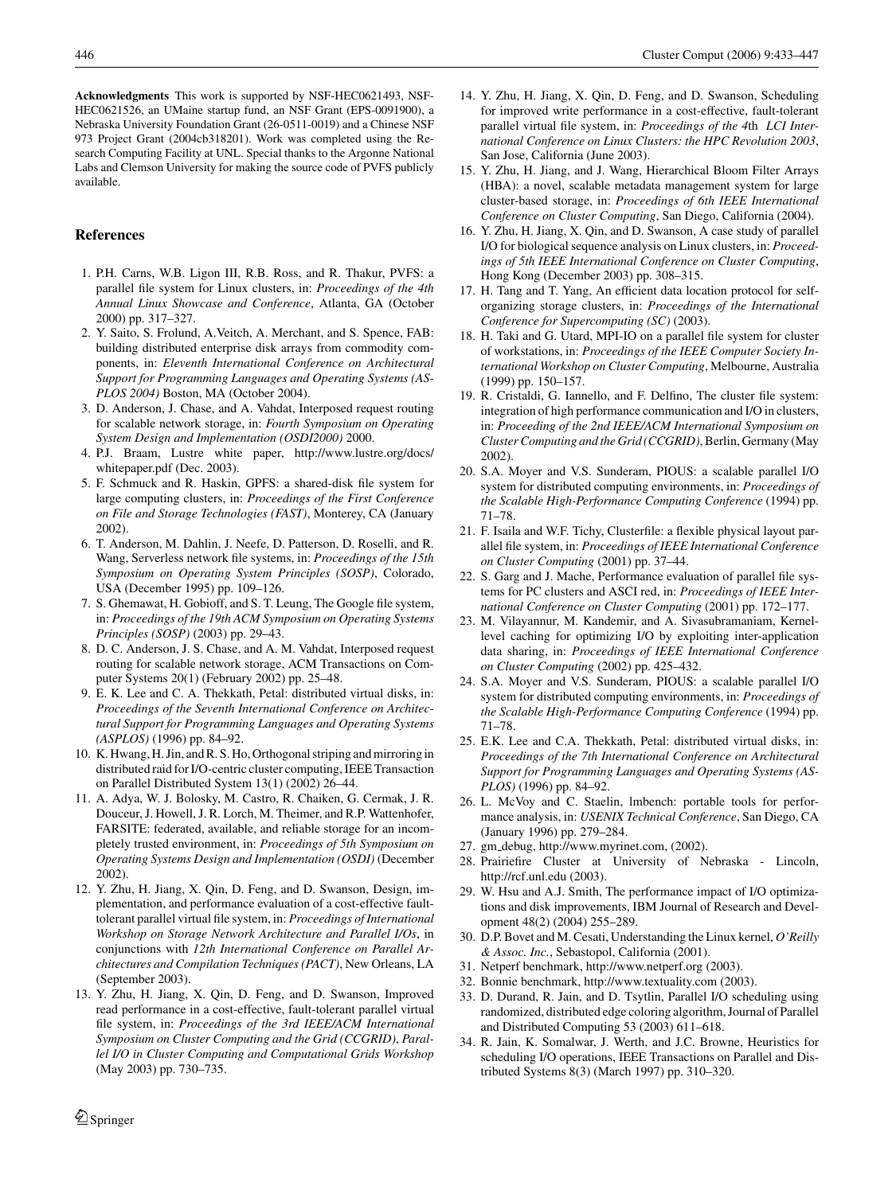**Acknowledgments** This work is supported by NSF-HEC0621493, NSF-HEC0621526, an UMaine startup fund, an NSF Grant (EPS-0091900), a Nebraska University Foundation Grant (26-0511-0019) and a Chinese NSF 973 Project Grant (2004cb318201). Work was completed using the Research Computing Facility at UNL. Special thanks to the Argonne National Labs and Clemson University for making the source code of PVFS publicly available.

### **References**

- 1. P.H. Carns, W.B. Ligon III, R.B. Ross, and R. Thakur, PVFS: a parallel file system for Linux clusters, in: *Proceedings of the 4th Annual Linux Showcase and Conference*, Atlanta, GA (October 2000) pp. 317–327.
- 2. Y. Saito, S. Frolund, A.Veitch, A. Merchant, and S. Spence, FAB: building distributed enterprise disk arrays from commodity components, in: *Eleventh International Conference on Architectural Support for Programming Languages and Operating Systems (AS-PLOS 2004)* Boston, MA (October 2004).
- 3. D. Anderson, J. Chase, and A. Vahdat, Interposed request routing for scalable network storage, in: *Fourth Symposium on Operating System Design and Implementation (OSDI2000)* 2000.
- 4. P.J. Braam, Lustre white paper, http://www.lustre.org/docs/ whitepaper.pdf (Dec. 2003).
- 5. F. Schmuck and R. Haskin, GPFS: a shared-disk file system for large computing clusters, in: *Proceedings of the First Conference on File and Storage Technologies (FAST)*, Monterey, CA (January 2002).
- 6. T. Anderson, M. Dahlin, J. Neefe, D. Patterson, D. Roselli, and R. Wang, Serverless network file systems, in: *Proceedings of the 15th Symposium on Operating System Principles (SOSP)*, Colorado, USA (December 1995) pp. 109–126.
- 7. S. Ghemawat, H. Gobioff, and S. T. Leung, The Google file system, in: *Proceedings of the 19th ACM Symposium on Operating Systems Principles (SOSP)* (2003) pp. 29–43.
- 8. D. C. Anderson, J. S. Chase, and A. M. Vahdat, Interposed request routing for scalable network storage, ACM Transactions on Computer Systems 20(1) (February 2002) pp. 25–48.
- 9. E. K. Lee and C. A. Thekkath, Petal: distributed virtual disks, in: *Proceedings of the Seventh International Conference on Architectural Support for Programming Languages and Operating Systems (ASPLOS)* (1996) pp. 84–92.
- 10. K. Hwang, H. Jin, and R. S. Ho, Orthogonal striping and mirroring in distributed raid for I/O-centric cluster computing, IEEE Transaction on Parallel Distributed System 13(1) (2002) 26–44.
- 11. A. Adya, W. J. Bolosky, M. Castro, R. Chaiken, G. Cermak, J. R. Douceur, J. Howell, J. R. Lorch, M. Theimer, and R.P. Wattenhofer, FARSITE: federated, available, and reliable storage for an incompletely trusted environment, in: *Proceedings of 5th Symposium on Operating Systems Design and Implementation (OSDI)* (December 2002).
- 12. Y. Zhu, H. Jiang, X. Qin, D. Feng, and D. Swanson, Design, implementation, and performance evaluation of a cost-effective faulttolerant parallel virtual file system, in: *Proceedings of International Workshop on Storage Network Architecture and Parallel I/Os*, in conjunctions with *12th International Conference on Parallel Architectures and Compilation Techniques (PACT)*, New Orleans, LA (September 2003).
- 13. Y. Zhu, H. Jiang, X. Qin, D. Feng, and D. Swanson, Improved read performance in a cost-effective, fault-tolerant parallel virtual file system, in: *Proceedings of the 3rd IEEE/ACM International Symposium on Cluster Computing and the Grid (CCGRID)*, *Parallel I/O in Cluster Computing and Computational Grids Workshop* (May 2003) pp. 730–735.
- 14. Y. Zhu, H. Jiang, X. Qin, D. Feng, and D. Swanson, Scheduling for improved write performance in a cost-effective, fault-tolerant parallel virtual file system, in: *Proceedings of the 4*th *LCI International Conference on Linux Clusters: the HPC Revolution 2003*, San Jose, California (June 2003).
- 15. Y. Zhu, H. Jiang, and J. Wang, Hierarchical Bloom Filter Arrays (HBA): a novel, scalable metadata management system for large cluster-based storage, in: *Proceedings of 6th IEEE International Conference on Cluster Computing*, San Diego, California (2004).
- 16. Y. Zhu, H. Jiang, X. Qin, and D. Swanson, A case study of parallel I/O for biological sequence analysis on Linux clusters, in: *Proceedings of 5th IEEE International Conference on Cluster Computing*, Hong Kong (December 2003) pp. 308–315.
- 17. H. Tang and T. Yang, An efficient data location protocol for selforganizing storage clusters, in: *Proceedings of the International Conference for Supercomputing (SC)* (2003).
- 18. H. Taki and G. Utard, MPI-IO on a parallel file system for cluster of workstations, in: *Proceedings of the IEEE Computer Society International Workshop on Cluster Computing*, Melbourne, Australia (1999) pp. 150–157.
- 19. R. Cristaldi, G. Iannello, and F. Delfino, The cluster file system: integration of high performance communication and I/O in clusters, in: *Proceeding of the 2nd IEEE/ACM International Symposium on Cluster Computing and the Grid (CCGRID)*, Berlin, Germany (May 2002).
- 20. S.A. Moyer and V.S. Sunderam, PIOUS: a scalable parallel I/O system for distributed computing environments, in: *Proceedings of the Scalable High-Performance Computing Conference* (1994) pp. 71–78.
- 21. F. Isaila and W.F. Tichy, Clusterfile: a flexible physical layout parallel file system, in: *Proceedings of IEEE International Conference on Cluster Computing* (2001) pp. 37–44.
- 22. S. Garg and J. Mache, Performance evaluation of parallel file systems for PC clusters and ASCI red, in: *Proceedings of IEEE International Conference on Cluster Computing* (2001) pp. 172–177.
- 23. M. Vilayannur, M. Kandemir, and A. Sivasubramaniam, Kernellevel caching for optimizing I/O by exploiting inter-application data sharing, in: *Proceedings of IEEE International Conference on Cluster Computing* (2002) pp. 425–432.
- 24. S.A. Moyer and V.S. Sunderam, PIOUS: a scalable parallel I/O system for distributed computing environments, in: *Proceedings of the Scalable High-Performance Computing Conference* (1994) pp. 71–78.
- 25. E.K. Lee and C.A. Thekkath, Petal: distributed virtual disks, in: *Proceedings of the 7th International Conference on Architectural Support for Programming Languages and Operating Systems (AS-PLOS)* (1996) pp. 84–92.
- 26. L. McVoy and C. Staelin, lmbench: portable tools for performance analysis, in: *USENIX Technical Conference*, San Diego, CA (January 1996) pp. 279–284.
- 27. gm debug, http://www.myrinet.com, (2002).
- 28. Prairiefire Cluster at University of Nebraska Lincoln, http://rcf.unl.edu (2003).
- 29. W. Hsu and A.J. Smith, The performance impact of I/O optimizations and disk improvements, IBM Journal of Research and Development 48(2) (2004) 255–289.
- 30. D.P. Bovet and M. Cesati, Understanding the Linux kernel, *O'Reilly & Assoc. Inc.*, Sebastopol, California (2001).
- 31. Netperf benchmark, http://www.netperf.org (2003).
- 32. Bonnie benchmark, http://www.textuality.com (2003).
- 33. D. Durand, R. Jain, and D. Tsytlin, Parallel I/O scheduling using randomized, distributed edge coloring algorithm, Journal of Parallel and Distributed Computing 53 (2003) 611–618.
- 34. R. Jain, K. Somalwar, J. Werth, and J.C. Browne, Heuristics for scheduling I/O operations, IEEE Transactions on Parallel and Distributed Systems 8(3) (March 1997) pp. 310–320.